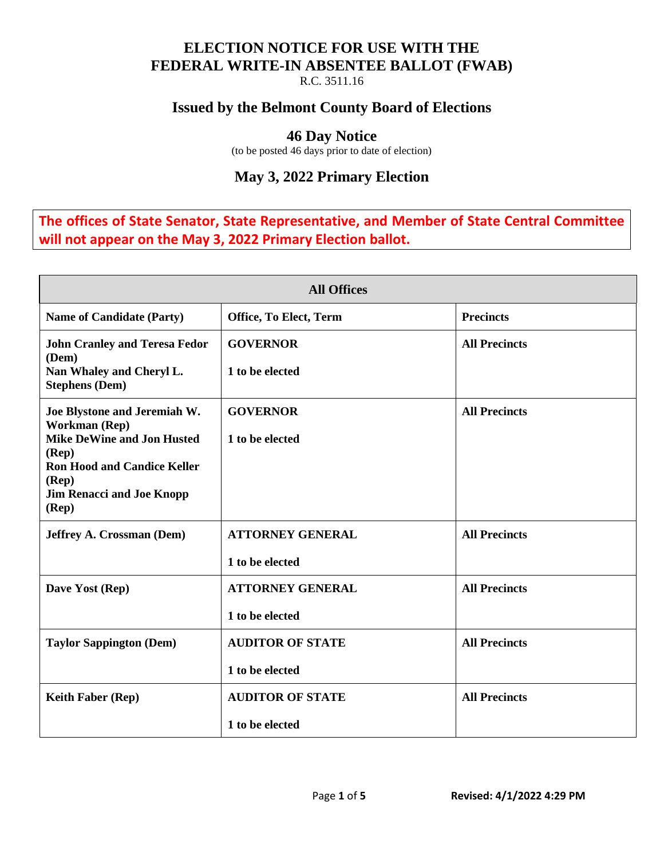#### **ELECTION NOTICE FOR USE WITH THE FEDERAL WRITE-IN ABSENTEE BALLOT (FWAB)**

R.C. 3511.16

### **Issued by the Belmont County Board of Elections**

#### **46 Day Notice**

(to be posted 46 days prior to date of election)

## **May 3, 2022 Primary Election**

**The offices of State Senator, State Representative, and Member of State Central Committee will not appear on the May 3, 2022 Primary Election ballot.** 

| <b>All Offices</b>                                                                                                                                                                                            |                                            |                      |  |  |
|---------------------------------------------------------------------------------------------------------------------------------------------------------------------------------------------------------------|--------------------------------------------|----------------------|--|--|
| <b>Name of Candidate (Party)</b>                                                                                                                                                                              | Office, To Elect, Term                     | <b>Precincts</b>     |  |  |
| <b>John Cranley and Teresa Fedor</b><br>(Dem)<br>Nan Whaley and Cheryl L.<br><b>Stephens (Dem)</b>                                                                                                            | <b>GOVERNOR</b><br>1 to be elected         | <b>All Precincts</b> |  |  |
| Joe Blystone and Jeremiah W.<br>Workman (Rep)<br><b>Mike DeWine and Jon Husted</b><br>$(\mathbf{Rep})$<br><b>Ron Hood and Candice Keller</b><br>(Rep)<br><b>Jim Renacci and Joe Knopp</b><br>$(\mathbf{Rep})$ | <b>GOVERNOR</b><br>1 to be elected         | <b>All Precincts</b> |  |  |
| <b>Jeffrey A. Crossman (Dem)</b>                                                                                                                                                                              | <b>ATTORNEY GENERAL</b><br>1 to be elected | <b>All Precincts</b> |  |  |
| Dave Yost (Rep)                                                                                                                                                                                               | <b>ATTORNEY GENERAL</b><br>1 to be elected | <b>All Precincts</b> |  |  |
| <b>Taylor Sappington (Dem)</b>                                                                                                                                                                                | <b>AUDITOR OF STATE</b><br>1 to be elected | <b>All Precincts</b> |  |  |
| <b>Keith Faber (Rep)</b>                                                                                                                                                                                      | <b>AUDITOR OF STATE</b><br>1 to be elected | <b>All Precincts</b> |  |  |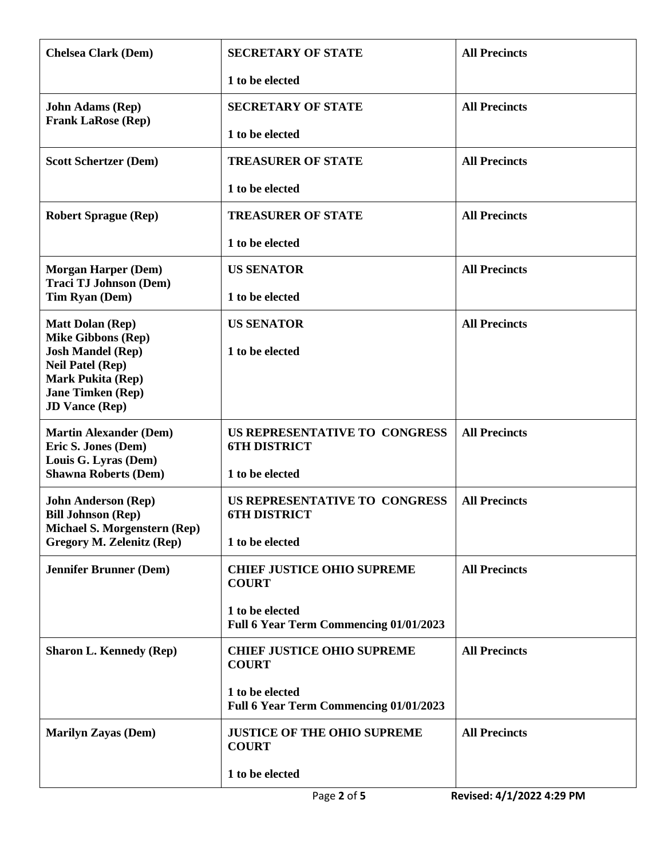| <b>Chelsea Clark (Dem)</b>                                       | <b>SECRETARY OF STATE</b>                                 | <b>All Precincts</b> |
|------------------------------------------------------------------|-----------------------------------------------------------|----------------------|
|                                                                  | 1 to be elected                                           |                      |
| <b>John Adams (Rep)</b>                                          | <b>SECRETARY OF STATE</b>                                 | <b>All Precincts</b> |
| <b>Frank LaRose (Rep)</b>                                        | 1 to be elected                                           |                      |
| <b>Scott Schertzer (Dem)</b>                                     | <b>TREASURER OF STATE</b>                                 | <b>All Precincts</b> |
|                                                                  | 1 to be elected                                           |                      |
| <b>Robert Sprague (Rep)</b>                                      | <b>TREASURER OF STATE</b>                                 | <b>All Precincts</b> |
|                                                                  | 1 to be elected                                           |                      |
| <b>Morgan Harper (Dem)</b>                                       | <b>US SENATOR</b>                                         | <b>All Precincts</b> |
| <b>Traci TJ Johnson (Dem)</b><br>Tim Ryan (Dem)                  | 1 to be elected                                           |                      |
| <b>Matt Dolan (Rep)</b>                                          | <b>US SENATOR</b>                                         | <b>All Precincts</b> |
| <b>Mike Gibbons (Rep)</b><br><b>Josh Mandel (Rep)</b>            | 1 to be elected                                           |                      |
| <b>Neil Patel (Rep)</b><br><b>Mark Pukita (Rep)</b>              |                                                           |                      |
| <b>Jane Timken (Rep)</b><br><b>JD Vance (Rep)</b>                |                                                           |                      |
| <b>Martin Alexander (Dem)</b><br>Eric S. Jones (Dem)             | US REPRESENTATIVE TO CONGRESS<br><b>6TH DISTRICT</b>      | <b>All Precincts</b> |
| Louis G. Lyras (Dem)<br><b>Shawna Roberts (Dem)</b>              | 1 to be elected                                           |                      |
|                                                                  |                                                           | <b>All Precincts</b> |
| <b>John Anderson (Rep)</b><br><b>Bill Johnson (Rep)</b>          | US REPRESENTATIVE TO CONGRESS<br><b>6TH DISTRICT</b>      |                      |
| Michael S. Morgenstern (Rep)<br><b>Gregory M. Zelenitz (Rep)</b> | 1 to be elected                                           |                      |
| <b>Jennifer Brunner (Dem)</b>                                    | <b>CHIEF JUSTICE OHIO SUPREME</b><br><b>COURT</b>         | <b>All Precincts</b> |
|                                                                  | 1 to be elected<br>Full 6 Year Term Commencing 01/01/2023 |                      |
| <b>Sharon L. Kennedy (Rep)</b>                                   | <b>CHIEF JUSTICE OHIO SUPREME</b><br><b>COURT</b>         | <b>All Precincts</b> |
|                                                                  | 1 to be elected<br>Full 6 Year Term Commencing 01/01/2023 |                      |
| <b>Marilyn Zayas (Dem)</b>                                       | <b>JUSTICE OF THE OHIO SUPREME</b><br><b>COURT</b>        | <b>All Precincts</b> |
|                                                                  | 1 to be elected                                           |                      |
|                                                                  |                                                           |                      |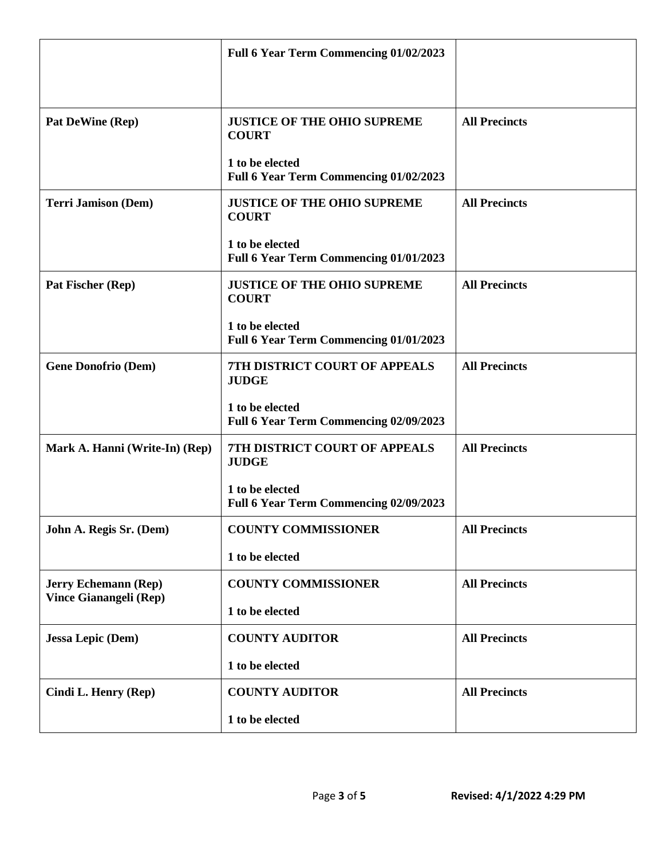|                                                       | Full 6 Year Term Commencing 01/02/2023                    |                      |
|-------------------------------------------------------|-----------------------------------------------------------|----------------------|
| Pat DeWine (Rep)                                      | <b>JUSTICE OF THE OHIO SUPREME</b><br><b>COURT</b>        | <b>All Precincts</b> |
|                                                       | 1 to be elected<br>Full 6 Year Term Commencing 01/02/2023 |                      |
| <b>Terri Jamison (Dem)</b>                            | <b>JUSTICE OF THE OHIO SUPREME</b><br><b>COURT</b>        | <b>All Precincts</b> |
|                                                       | 1 to be elected<br>Full 6 Year Term Commencing 01/01/2023 |                      |
| Pat Fischer (Rep)                                     | <b>JUSTICE OF THE OHIO SUPREME</b><br><b>COURT</b>        | <b>All Precincts</b> |
|                                                       | 1 to be elected<br>Full 6 Year Term Commencing 01/01/2023 |                      |
| <b>Gene Donofrio (Dem)</b>                            | 7TH DISTRICT COURT OF APPEALS<br><b>JUDGE</b>             | <b>All Precincts</b> |
|                                                       | 1 to be elected<br>Full 6 Year Term Commencing 02/09/2023 |                      |
| Mark A. Hanni (Write-In) (Rep)                        | <b>7TH DISTRICT COURT OF APPEALS</b><br><b>JUDGE</b>      | <b>All Precincts</b> |
|                                                       | 1 to be elected<br>Full 6 Year Term Commencing 02/09/2023 |                      |
| John A. Regis Sr. (Dem)                               | <b>COUNTY COMMISSIONER</b>                                | <b>All Precincts</b> |
|                                                       | 1 to be elected                                           |                      |
| <b>Jerry Echemann (Rep)</b><br>Vince Gianangeli (Rep) | <b>COUNTY COMMISSIONER</b>                                | <b>All Precincts</b> |
|                                                       | 1 to be elected                                           |                      |
| <b>Jessa Lepic (Dem)</b>                              | <b>COUNTY AUDITOR</b>                                     | <b>All Precincts</b> |
|                                                       | 1 to be elected                                           |                      |
| Cindi L. Henry (Rep)                                  | <b>COUNTY AUDITOR</b>                                     | <b>All Precincts</b> |
|                                                       | 1 to be elected                                           |                      |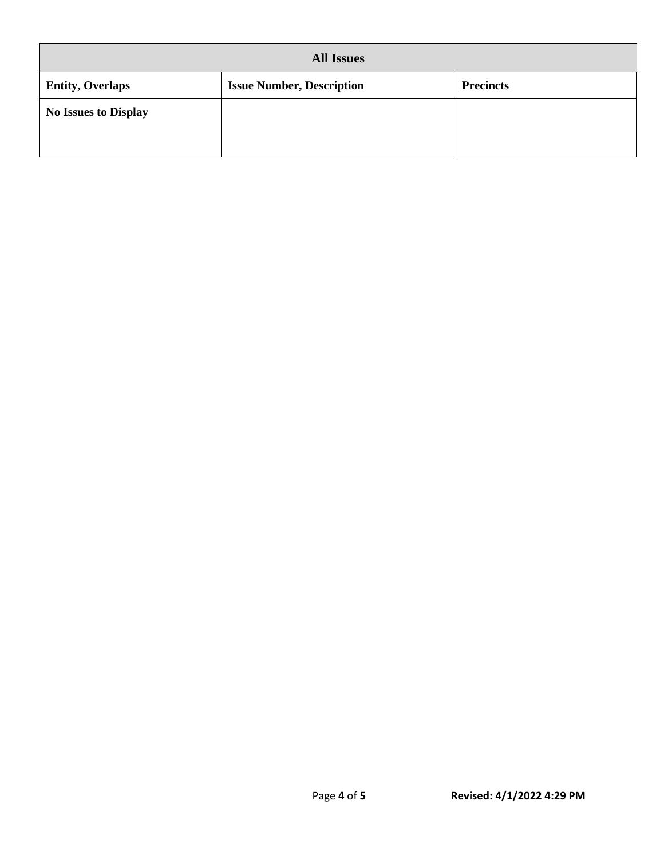| <b>All Issues</b>           |                                  |                  |  |  |
|-----------------------------|----------------------------------|------------------|--|--|
| <b>Entity, Overlaps</b>     | <b>Issue Number, Description</b> | <b>Precincts</b> |  |  |
| <b>No Issues to Display</b> |                                  |                  |  |  |
|                             |                                  |                  |  |  |